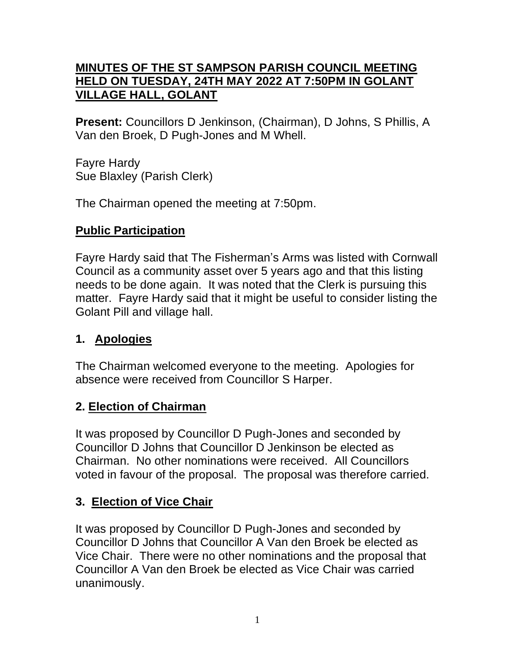### **MINUTES OF THE ST SAMPSON PARISH COUNCIL MEETING HELD ON TUESDAY, 24TH MAY 2022 AT 7:50PM IN GOLANT VILLAGE HALL, GOLANT**

**Present:** Councillors D Jenkinson, (Chairman), D Johns, S Phillis, A Van den Broek, D Pugh-Jones and M Whell.

Fayre Hardy Sue Blaxley (Parish Clerk)

The Chairman opened the meeting at 7:50pm.

## **Public Participation**

Fayre Hardy said that The Fisherman's Arms was listed with Cornwall Council as a community asset over 5 years ago and that this listing needs to be done again. It was noted that the Clerk is pursuing this matter. Fayre Hardy said that it might be useful to consider listing the Golant Pill and village hall.

## **1. Apologies**

The Chairman welcomed everyone to the meeting. Apologies for absence were received from Councillor S Harper.

## **2. Election of Chairman**

It was proposed by Councillor D Pugh-Jones and seconded by Councillor D Johns that Councillor D Jenkinson be elected as Chairman. No other nominations were received. All Councillors voted in favour of the proposal. The proposal was therefore carried.

## **3. Election of Vice Chair**

It was proposed by Councillor D Pugh-Jones and seconded by Councillor D Johns that Councillor A Van den Broek be elected as Vice Chair. There were no other nominations and the proposal that Councillor A Van den Broek be elected as Vice Chair was carried unanimously.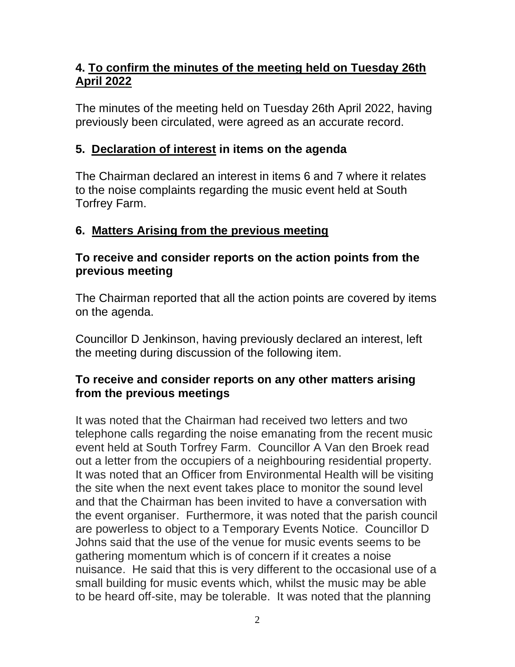## **4. To confirm the minutes of the meeting held on Tuesday 26th April 2022**

The minutes of the meeting held on Tuesday 26th April 2022, having previously been circulated, were agreed as an accurate record.

## **5. Declaration of interest in items on the agenda**

The Chairman declared an interest in items 6 and 7 where it relates to the noise complaints regarding the music event held at South Torfrey Farm.

## **6. Matters Arising from the previous meeting**

#### **To receive and consider reports on the action points from the previous meeting**

The Chairman reported that all the action points are covered by items on the agenda.

Councillor D Jenkinson, having previously declared an interest, left the meeting during discussion of the following item.

#### **To receive and consider reports on any other matters arising from the previous meetings**

It was noted that the Chairman had received two letters and two telephone calls regarding the noise emanating from the recent music event held at South Torfrey Farm. Councillor A Van den Broek read out a letter from the occupiers of a neighbouring residential property. It was noted that an Officer from Environmental Health will be visiting the site when the next event takes place to monitor the sound level and that the Chairman has been invited to have a conversation with the event organiser. Furthermore, it was noted that the parish council are powerless to object to a Temporary Events Notice. Councillor D Johns said that the use of the venue for music events seems to be gathering momentum which is of concern if it creates a noise nuisance. He said that this is very different to the occasional use of a small building for music events which, whilst the music may be able to be heard off-site, may be tolerable. It was noted that the planning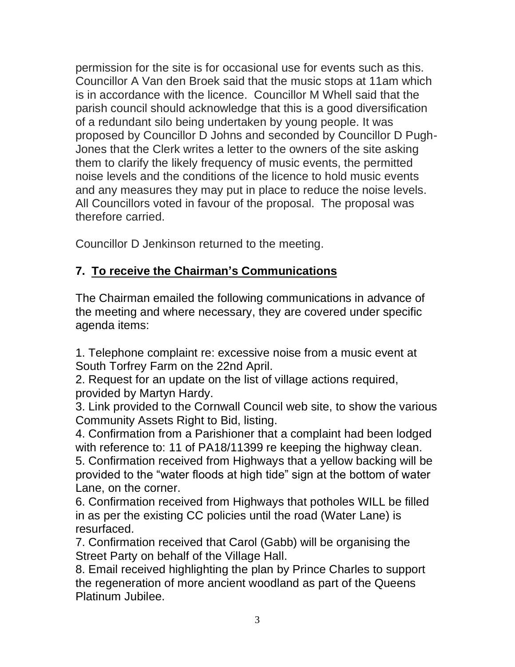permission for the site is for occasional use for events such as this. Councillor A Van den Broek said that the music stops at 11am which is in accordance with the licence. Councillor M Whell said that the parish council should acknowledge that this is a good diversification of a redundant silo being undertaken by young people. It was proposed by Councillor D Johns and seconded by Councillor D Pugh-Jones that the Clerk writes a letter to the owners of the site asking them to clarify the likely frequency of music events, the permitted noise levels and the conditions of the licence to hold music events and any measures they may put in place to reduce the noise levels. All Councillors voted in favour of the proposal. The proposal was therefore carried.

Councillor D Jenkinson returned to the meeting.

# **7. To receive the Chairman's Communications**

The Chairman emailed the following communications in advance of the meeting and where necessary, they are covered under specific agenda items:

1. Telephone complaint re: excessive noise from a music event at South Torfrey Farm on the 22nd April.

2. Request for an update on the list of village actions required, provided by Martyn Hardy.

3. Link provided to the Cornwall Council web site, to show the various Community Assets Right to Bid, listing.

4. Confirmation from a Parishioner that a complaint had been lodged with reference to: 11 of PA18/11399 re keeping the highway clean.

5. Confirmation received from Highways that a yellow backing will be provided to the "water floods at high tide" sign at the bottom of water Lane, on the corner.

6. Confirmation received from Highways that potholes WILL be filled in as per the existing CC policies until the road (Water Lane) is resurfaced.

7. Confirmation received that Carol (Gabb) will be organising the Street Party on behalf of the Village Hall.

8. Email received highlighting the plan by Prince Charles to support the regeneration of more ancient woodland as part of the Queens Platinum Jubilee.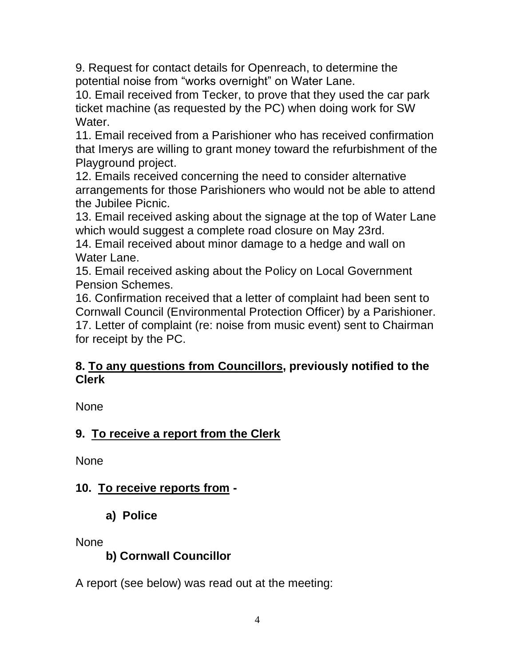9. Request for contact details for Openreach, to determine the potential noise from "works overnight" on Water Lane.

10. Email received from Tecker, to prove that they used the car park ticket machine (as requested by the PC) when doing work for SW Water.

11. Email received from a Parishioner who has received confirmation that Imerys are willing to grant money toward the refurbishment of the Playground project.

12. Emails received concerning the need to consider alternative arrangements for those Parishioners who would not be able to attend the Jubilee Picnic.

13. Email received asking about the signage at the top of Water Lane which would suggest a complete road closure on May 23rd.

14. Email received about minor damage to a hedge and wall on Water Lane.

15. Email received asking about the Policy on Local Government Pension Schemes.

16. Confirmation received that a letter of complaint had been sent to Cornwall Council (Environmental Protection Officer) by a Parishioner. 17. Letter of complaint (re: noise from music event) sent to Chairman for receipt by the PC.

#### **8. To any questions from Councillors, previously notified to the Clerk**

None

## **9. To receive a report from the Clerk**

None

## **10. To receive reports from -**

**a) Police**

None

## **b) Cornwall Councillor**

A report (see below) was read out at the meeting: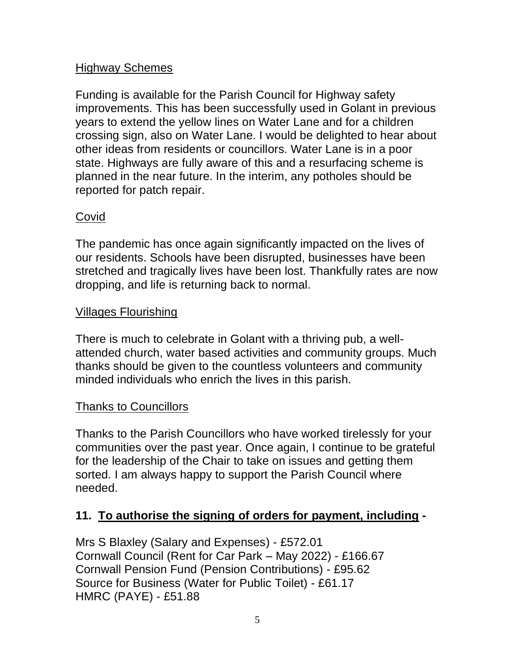### Highway Schemes

Funding is available for the Parish Council for Highway safety improvements. This has been successfully used in Golant in previous years to extend the yellow lines on Water Lane and for a children crossing sign, also on Water Lane. I would be delighted to hear about other ideas from residents or councillors. Water Lane is in a poor state. Highways are fully aware of this and a resurfacing scheme is planned in the near future. In the interim, any potholes should be reported for patch repair.

#### Covid

The pandemic has once again significantly impacted on the lives of our residents. Schools have been disrupted, businesses have been stretched and tragically lives have been lost. Thankfully rates are now dropping, and life is returning back to normal.

#### Villages Flourishing

There is much to celebrate in Golant with a thriving pub, a wellattended church, water based activities and community groups. Much thanks should be given to the countless volunteers and community minded individuals who enrich the lives in this parish.

#### Thanks to Councillors

Thanks to the Parish Councillors who have worked tirelessly for your communities over the past year. Once again, I continue to be grateful for the leadership of the Chair to take on issues and getting them sorted. I am always happy to support the Parish Council where needed.

## **11. To authorise the signing of orders for payment, including -**

Mrs S Blaxley (Salary and Expenses) - £572.01 Cornwall Council (Rent for Car Park – May 2022) - £166.67 Cornwall Pension Fund (Pension Contributions) - £95.62 Source for Business (Water for Public Toilet) - £61.17 HMRC (PAYE) - £51.88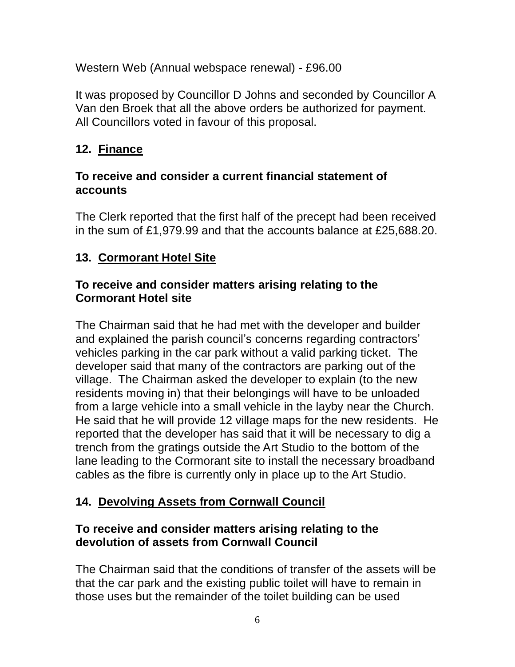Western Web (Annual webspace renewal) - £96.00

It was proposed by Councillor D Johns and seconded by Councillor A Van den Broek that all the above orders be authorized for payment. All Councillors voted in favour of this proposal.

## **12. Finance**

#### **To receive and consider a current financial statement of accounts**

The Clerk reported that the first half of the precept had been received in the sum of £1,979.99 and that the accounts balance at £25,688.20.

## **13. Cormorant Hotel Site**

#### **To receive and consider matters arising relating to the Cormorant Hotel site**

The Chairman said that he had met with the developer and builder and explained the parish council's concerns regarding contractors' vehicles parking in the car park without a valid parking ticket. The developer said that many of the contractors are parking out of the village. The Chairman asked the developer to explain (to the new residents moving in) that their belongings will have to be unloaded from a large vehicle into a small vehicle in the layby near the Church. He said that he will provide 12 village maps for the new residents. He reported that the developer has said that it will be necessary to dig a trench from the gratings outside the Art Studio to the bottom of the lane leading to the Cormorant site to install the necessary broadband cables as the fibre is currently only in place up to the Art Studio.

## **14. Devolving Assets from Cornwall Council**

#### **To receive and consider matters arising relating to the devolution of assets from Cornwall Council**

The Chairman said that the conditions of transfer of the assets will be that the car park and the existing public toilet will have to remain in those uses but the remainder of the toilet building can be used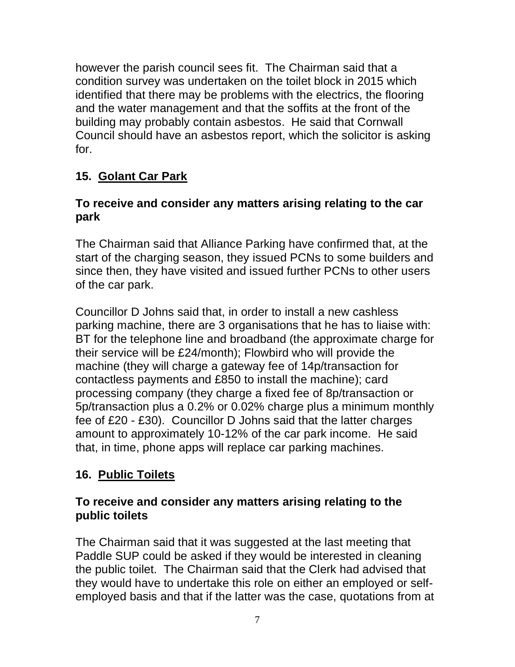however the parish council sees fit. The Chairman said that a condition survey was undertaken on the toilet block in 2015 which identified that there may be problems with the electrics, the flooring and the water management and that the soffits at the front of the building may probably contain asbestos. He said that Cornwall Council should have an asbestos report, which the solicitor is asking for.

# **15. Golant Car Park**

### **To receive and consider any matters arising relating to the car park**

The Chairman said that Alliance Parking have confirmed that, at the start of the charging season, they issued PCNs to some builders and since then, they have visited and issued further PCNs to other users of the car park.

Councillor D Johns said that, in order to install a new cashless parking machine, there are 3 organisations that he has to liaise with: BT for the telephone line and broadband (the approximate charge for their service will be £24/month); Flowbird who will provide the machine (they will charge a gateway fee of 14p/transaction for contactless payments and £850 to install the machine); card processing company (they charge a fixed fee of 8p/transaction or 5p/transaction plus a 0.2% or 0.02% charge plus a minimum monthly fee of £20 - £30). Councillor D Johns said that the latter charges amount to approximately 10-12% of the car park income. He said that, in time, phone apps will replace car parking machines.

## **16. Public Toilets**

#### **To receive and consider any matters arising relating to the public toilets**

The Chairman said that it was suggested at the last meeting that Paddle SUP could be asked if they would be interested in cleaning the public toilet. The Chairman said that the Clerk had advised that they would have to undertake this role on either an employed or selfemployed basis and that if the latter was the case, quotations from at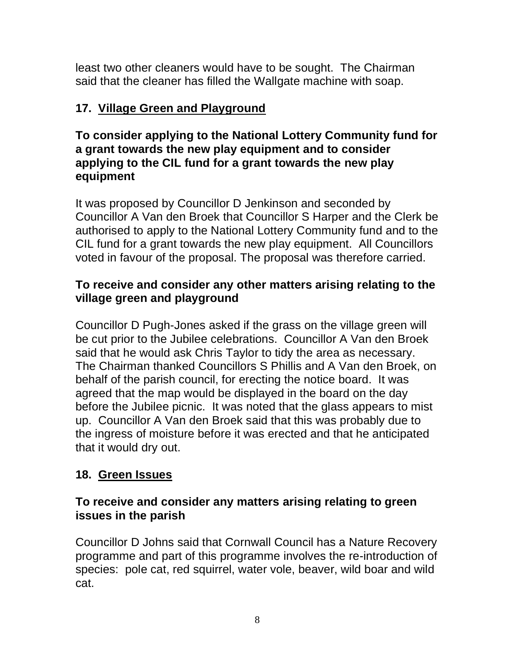least two other cleaners would have to be sought. The Chairman said that the cleaner has filled the Wallgate machine with soap.

## **17. Village Green and Playground**

#### **To consider applying to the National Lottery Community fund for a grant towards the new play equipment and to consider applying to the CIL fund for a grant towards the new play equipment**

It was proposed by Councillor D Jenkinson and seconded by Councillor A Van den Broek that Councillor S Harper and the Clerk be authorised to apply to the National Lottery Community fund and to the CIL fund for a grant towards the new play equipment. All Councillors voted in favour of the proposal. The proposal was therefore carried.

## **To receive and consider any other matters arising relating to the village green and playground**

Councillor D Pugh-Jones asked if the grass on the village green will be cut prior to the Jubilee celebrations. Councillor A Van den Broek said that he would ask Chris Taylor to tidy the area as necessary. The Chairman thanked Councillors S Phillis and A Van den Broek, on behalf of the parish council, for erecting the notice board. It was agreed that the map would be displayed in the board on the day before the Jubilee picnic. It was noted that the glass appears to mist up. Councillor A Van den Broek said that this was probably due to the ingress of moisture before it was erected and that he anticipated that it would dry out.

## **18. Green Issues**

#### **To receive and consider any matters arising relating to green issues in the parish**

Councillor D Johns said that Cornwall Council has a Nature Recovery programme and part of this programme involves the re-introduction of species: pole cat, red squirrel, water vole, beaver, wild boar and wild cat.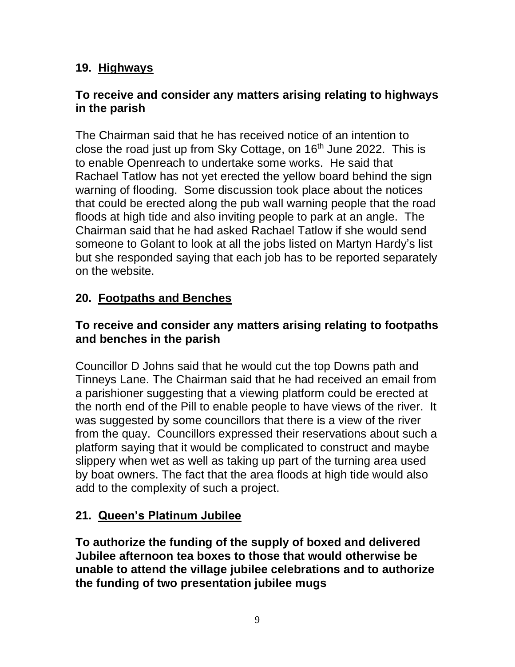## **19. Highways**

#### **To receive and consider any matters arising relating to highways in the parish**

The Chairman said that he has received notice of an intention to close the road just up from Sky Cottage, on  $16<sup>th</sup>$  June 2022. This is to enable Openreach to undertake some works. He said that Rachael Tatlow has not yet erected the yellow board behind the sign warning of flooding. Some discussion took place about the notices that could be erected along the pub wall warning people that the road floods at high tide and also inviting people to park at an angle. The Chairman said that he had asked Rachael Tatlow if she would send someone to Golant to look at all the jobs listed on Martyn Hardy's list but she responded saying that each job has to be reported separately on the website.

## **20. Footpaths and Benches**

#### **To receive and consider any matters arising relating to footpaths and benches in the parish**

Councillor D Johns said that he would cut the top Downs path and Tinneys Lane. The Chairman said that he had received an email from a parishioner suggesting that a viewing platform could be erected at the north end of the Pill to enable people to have views of the river. It was suggested by some councillors that there is a view of the river from the quay. Councillors expressed their reservations about such a platform saying that it would be complicated to construct and maybe slippery when wet as well as taking up part of the turning area used by boat owners. The fact that the area floods at high tide would also add to the complexity of such a project.

## **21. Queen's Platinum Jubilee**

**To authorize the funding of the supply of boxed and delivered Jubilee afternoon tea boxes to those that would otherwise be unable to attend the village jubilee celebrations and to authorize the funding of two presentation jubilee mugs**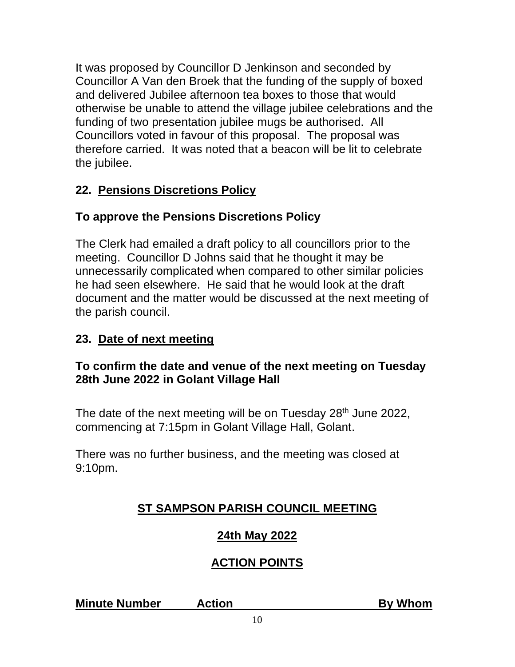It was proposed by Councillor D Jenkinson and seconded by Councillor A Van den Broek that the funding of the supply of boxed and delivered Jubilee afternoon tea boxes to those that would otherwise be unable to attend the village jubilee celebrations and the funding of two presentation jubilee mugs be authorised. All Councillors voted in favour of this proposal. The proposal was therefore carried. It was noted that a beacon will be lit to celebrate the jubilee.

# **22. Pensions Discretions Policy**

# **To approve the Pensions Discretions Policy**

The Clerk had emailed a draft policy to all councillors prior to the meeting. Councillor D Johns said that he thought it may be unnecessarily complicated when compared to other similar policies he had seen elsewhere. He said that he would look at the draft document and the matter would be discussed at the next meeting of the parish council.

## **23. Date of next meeting**

## **To confirm the date and venue of the next meeting on Tuesday 28th June 2022 in Golant Village Hall**

The date of the next meeting will be on Tuesday 28<sup>th</sup> June 2022, commencing at 7:15pm in Golant Village Hall, Golant.

There was no further business, and the meeting was closed at 9:10pm.

# **ST SAMPSON PARISH COUNCIL MEETING**

## **24th May 2022**

## **ACTION POINTS**

**Minute Number Action By Whom**